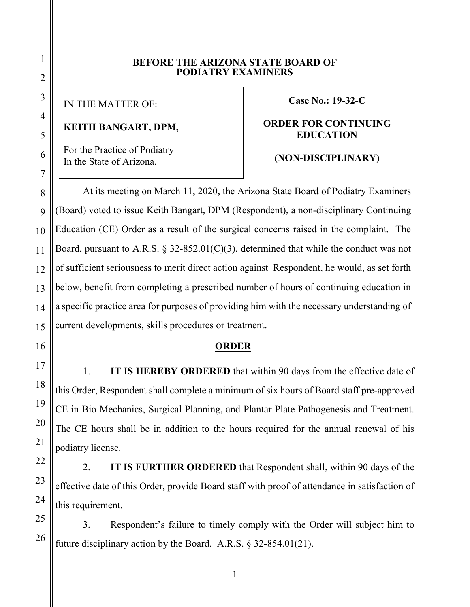#### **BEFORE THE ARIZONA STATE BOARD OF PODIATRY EXAMINERS**

IN THE MATTER OF:

## **KEITH BANGART, DPM,**

For the Practice of Podiatry In the State of Arizona.

**Case No.: 19-32-C**

### **ORDER FOR CONTINUING EDUCATION**

# **(NON-DISCIPLINARY)**

At its meeting on March 11, 2020, the Arizona State Board of Podiatry Examiners (Board) voted to issue Keith Bangart, DPM (Respondent), a non-disciplinary Continuing Education (CE) Order as a result of the surgical concerns raised in the complaint. The Board, pursuant to A.R.S.  $\S 32-852.01(C)(3)$ , determined that while the conduct was not of sufficient seriousness to merit direct action against Respondent, he would, as set forth below, benefit from completing a prescribed number of hours of continuing education in a specific practice area for purposes of providing him with the necessary understanding of current developments, skills procedures or treatment.

### **ORDER**

1. **IT IS HEREBY ORDERED** that within 90 days from the effective date of this Order, Respondent shall complete a minimum of six hours of Board staff pre-approved CE in Bio Mechanics, Surgical Planning, and Plantar Plate Pathogenesis and Treatment. The CE hours shall be in addition to the hours required for the annual renewal of his podiatry license.

2. **IT IS FURTHER ORDERED** that Respondent shall, within 90 days of the effective date of this Order, provide Board staff with proof of attendance in satisfaction of this requirement.

3. Respondent's failure to timely comply with the Order will subject him to future disciplinary action by the Board. A.R.S. § 32-854.01(21).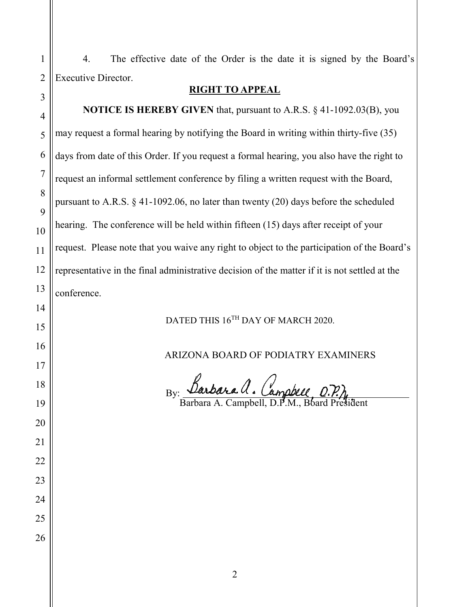4. The effective date of the Order is the date it is signed by the Board's Executive Director. **RIGHT TO APPEAL**

**NOTICE IS HEREBY GIVEN** that, pursuant to A.R.S. § 41-1092.03(B), you may request a formal hearing by notifying the Board in writing within thirty-five (35) days from date of this Order. If you request a formal hearing, you also have the right to request an informal settlement conference by filing a written request with the Board, pursuant to A.R.S. § 41-1092.06, no later than twenty (20) days before the scheduled hearing. The conference will be held within fifteen (15) days after receipt of your request. Please note that you waive any right to object to the participation of the Board's representative in the final administrative decision of the matter if it is not settled at the conference.

DATED THIS  $16^\mathrm{TH}$  DAY OF MARCH 2020.

ARIZONA BOARD OF PODIATRY EXAMINERS

By:

Barbara A. Campbell, D.P.M., Board President